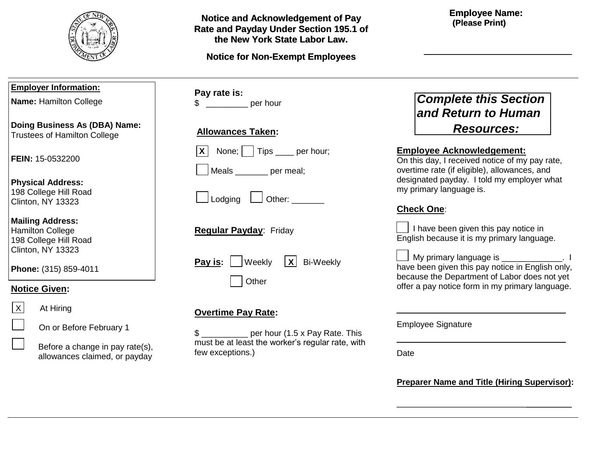

| <b>Notice and Acknowledgement of Pay</b> |
|------------------------------------------|
| Rate and Payday Under Section 195.1 of   |
| the New York State Labor Law.            |

## **Notice for Non-Exempt Employees**

### **Employee Name: (Please Print)**

| <b>Employer Information:</b>                                                                     |                                                                  | Pay rate is: |                                 |
|--------------------------------------------------------------------------------------------------|------------------------------------------------------------------|--------------|---------------------------------|
|                                                                                                  | Name: Hamilton College                                           | \$           |                                 |
| Doing Business As (DBA) Name:<br><b>Trustees of Hamilton College</b>                             |                                                                  |              | <b>Allowances</b>               |
|                                                                                                  | <b>FEIN: 15-0532200</b>                                          |              | None;<br>$\mathsf{X}$<br>Meals  |
| <b>Physical Address:</b><br>198 College Hill Road<br>Clinton, NY 13323                           |                                                                  |              | Lodging                         |
| <b>Mailing Address:</b><br><b>Hamilton College</b><br>198 College Hill Road<br>Clinton, NY 13323 |                                                                  |              | <b>Regular Pay</b>              |
| Phone: (315) 859-4011                                                                            |                                                                  |              | Pay is:                         |
|                                                                                                  | <b>Notice Given:</b>                                             |              |                                 |
| X                                                                                                | At Hiring                                                        |              | <b>Overtime Pa</b>              |
|                                                                                                  | On or Before February 1                                          | \$           |                                 |
|                                                                                                  | Before a change in pay rate(s),<br>allowances claimed, or payday |              | must be at lea<br>few exception |
|                                                                                                  |                                                                  |              |                                 |

| \$<br>per hour                                                  |  |  |  |  |
|-----------------------------------------------------------------|--|--|--|--|
| <b>Allowances Taken:</b>                                        |  |  |  |  |
| $\overline{X}$ None; $\overline{X}$ Tips <u>queen</u> per hour; |  |  |  |  |
| Meals _______ per meal;                                         |  |  |  |  |
| $\Box$ Lodging $\Box$ Other: $\Box$                             |  |  |  |  |
| <b>Regular Payday: Friday</b>                                   |  |  |  |  |
| <b>Pay is:</b> $ $ Weekly $ X $ Bi-Weekly<br>Other              |  |  |  |  |
|                                                                 |  |  |  |  |

# **Overtime Pay Rate:**

\$ \_\_\_\_\_\_\_\_\_\_ per hour (1.5 x Pay Rate. This must be at least the worker's regular rate, with few exceptions.)

# *Complete this Section and Return to Human Resources:*

### **Employee Acknowledgement:**

On this day, I received notice of my pay rate, overtime rate (if eligible), allowances, and designated payday. I told my employer what my primary language is.

## **Check One**:

 $\vert$  I have been given this pay notice in English because it is my primary language.

My primary language is example the set of the My primary language is the set of the set of the set of the set o have been given this pay notice in English only, because the Department of Labor does not yet offer a pay notice form in my primary language.

Employee Signature

Date

**Preparer Name and Title (Hiring Supervisor):**